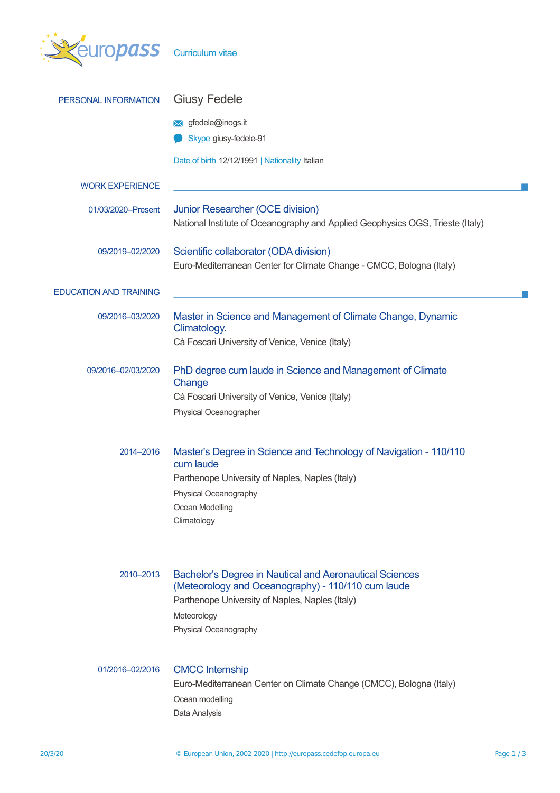| europass                      | Curriculum vitae                                                               |          |  |  |  |
|-------------------------------|--------------------------------------------------------------------------------|----------|--|--|--|
| PERSONAL INFORMATION          | <b>Giusy Fedele</b>                                                            |          |  |  |  |
|                               | <b>★</b> gfedele@inogs.it                                                      |          |  |  |  |
|                               | Skype giusy-fedele-91                                                          |          |  |  |  |
|                               | Date of birth 12/12/1991   Nationality Italian                                 |          |  |  |  |
| <b>WORK EXPERIENCE</b>        |                                                                                |          |  |  |  |
| 01/03/2020-Present            | Junior Researcher (OCE division)                                               |          |  |  |  |
|                               | National Institute of Oceanography and Applied Geophysics OGS, Trieste (Italy) |          |  |  |  |
| 09/2019-02/2020               | Scientific collaborator (ODA division)                                         |          |  |  |  |
|                               | Euro-Mediterranean Center for Climate Change - CMCC, Bologna (Italy)           |          |  |  |  |
| <b>EDUCATION AND TRAINING</b> |                                                                                |          |  |  |  |
| 09/2016-03/2020               | Master in Science and Management of Climate Change, Dynamic                    |          |  |  |  |
|                               | Climatology.                                                                   |          |  |  |  |
|                               | Cà Foscari University of Venice, Venice (Italy)                                |          |  |  |  |
| 09/2016-02/03/2020            | PhD degree cum laude in Science and Management of Climate                      |          |  |  |  |
|                               | Change                                                                         |          |  |  |  |
|                               | Cà Foscari University of Venice, Venice (Italy)<br>Physical Oceanographer      |          |  |  |  |
|                               |                                                                                |          |  |  |  |
| 2014-2016                     | Master's Degree in Science and Technology of Navigation - 110/110              |          |  |  |  |
|                               | cum laude                                                                      |          |  |  |  |
|                               | Parthenope University of Naples, Naples (Italy)<br>Physical Oceanography       |          |  |  |  |
|                               | Ocean Modelling                                                                |          |  |  |  |
|                               | Climatology                                                                    |          |  |  |  |
|                               |                                                                                |          |  |  |  |
| 2010-2013                     | <b>Bachelor's Degree in Nautical and Aeronautical Sciences</b>                 |          |  |  |  |
|                               | (Meteorology and Oceanography) - 110/110 cum laude                             |          |  |  |  |
|                               | Parthenope University of Naples, Naples (Italy)                                |          |  |  |  |
|                               | Meteorology<br>Physical Oceanography                                           |          |  |  |  |
|                               |                                                                                |          |  |  |  |
| 01/2016-02/2016               | <b>CMCC</b> Internship                                                         |          |  |  |  |
|                               | Euro-Mediterranean Center on Climate Change (CMCC), Bologna (Italy)            |          |  |  |  |
|                               | Ocean modelling                                                                |          |  |  |  |
|                               | Data Analysis                                                                  |          |  |  |  |
| 20/3/20                       | © European Union, 2002-2020   http://europass.cedefop.europa.eu                | Page 1/3 |  |  |  |
|                               |                                                                                |          |  |  |  |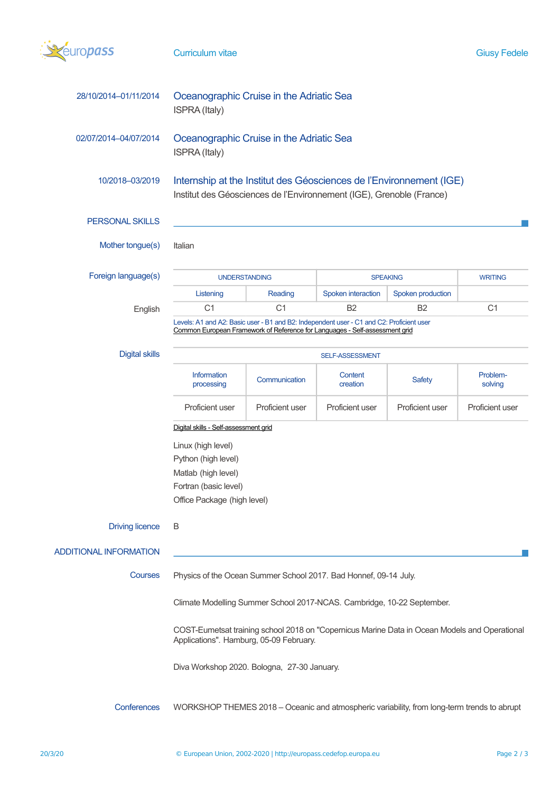

| 28/10/2014-01/11/2014                                                                                                                                                                                              | Oceanographic Cruise in the Adriatic Sea<br>ISPRA (Italy)                                                                                                               |                 |                     |                   |                     |  |  |
|--------------------------------------------------------------------------------------------------------------------------------------------------------------------------------------------------------------------|-------------------------------------------------------------------------------------------------------------------------------------------------------------------------|-----------------|---------------------|-------------------|---------------------|--|--|
| 02/07/2014-04/07/2014                                                                                                                                                                                              | Oceanographic Cruise in the Adriatic Sea<br>ISPRA (Italy)                                                                                                               |                 |                     |                   |                     |  |  |
| 10/2018-03/2019                                                                                                                                                                                                    | Internship at the Institut des Géosciences de l'Environnement (IGE)<br>Institut des Géosciences de l'Environnement (IGE), Grenoble (France)                             |                 |                     |                   |                     |  |  |
| <b>PERSONAL SKILLS</b>                                                                                                                                                                                             |                                                                                                                                                                         |                 |                     |                   |                     |  |  |
| Mother tongue(s)                                                                                                                                                                                                   | Italian                                                                                                                                                                 |                 |                     |                   |                     |  |  |
| Foreign language(s)                                                                                                                                                                                                | <b>UNDERSTANDING</b><br><b>SPEAKING</b><br><b>WRITING</b>                                                                                                               |                 |                     |                   |                     |  |  |
|                                                                                                                                                                                                                    | Listening                                                                                                                                                               | Reading         | Spoken interaction  | Spoken production |                     |  |  |
| English                                                                                                                                                                                                            | C <sub>1</sub>                                                                                                                                                          | C <sub>1</sub>  | B <sub>2</sub>      | <b>B2</b>         | C <sub>1</sub>      |  |  |
|                                                                                                                                                                                                                    | Levels: A1 and A2: Basic user - B1 and B2: Independent user - C1 and C2: Proficient user<br>Common European Framework of Reference for Languages - Self-assessment grid |                 |                     |                   |                     |  |  |
| <b>Digital skills</b>                                                                                                                                                                                              | SELF-ASSESSMENT                                                                                                                                                         |                 |                     |                   |                     |  |  |
|                                                                                                                                                                                                                    | Information<br>processing                                                                                                                                               | Communication   | Content<br>creation | <b>Safety</b>     | Problem-<br>solving |  |  |
|                                                                                                                                                                                                                    | Proficient user                                                                                                                                                         | Proficient user | Proficient user     | Proficient user   | Proficient user     |  |  |
|                                                                                                                                                                                                                    | Digital skills - Self-assessment grid                                                                                                                                   |                 |                     |                   |                     |  |  |
|                                                                                                                                                                                                                    | Linux (high level)<br>Python (high level)<br>Matlab (high level)<br>Fortran (basic level)                                                                               |                 |                     |                   |                     |  |  |
|                                                                                                                                                                                                                    |                                                                                                                                                                         |                 |                     |                   |                     |  |  |
|                                                                                                                                                                                                                    |                                                                                                                                                                         |                 |                     |                   |                     |  |  |
|                                                                                                                                                                                                                    |                                                                                                                                                                         |                 |                     |                   |                     |  |  |
|                                                                                                                                                                                                                    | Office Package (high level)                                                                                                                                             |                 |                     |                   |                     |  |  |
| <b>Driving licence</b>                                                                                                                                                                                             | B                                                                                                                                                                       |                 |                     |                   |                     |  |  |
| <b>ADDITIONAL INFORMATION</b>                                                                                                                                                                                      |                                                                                                                                                                         |                 |                     |                   |                     |  |  |
| Courses<br>Physics of the Ocean Summer School 2017. Bad Honnef, 09-14 July.                                                                                                                                        |                                                                                                                                                                         |                 |                     |                   |                     |  |  |
| Climate Modelling Summer School 2017-NCAS. Cambridge, 10-22 September.<br>COST-Eumetsat training school 2018 on "Copernicus Marine Data in Ocean Models and Operational<br>Applications". Hamburg, 05-09 February. |                                                                                                                                                                         |                 |                     |                   |                     |  |  |
|                                                                                                                                                                                                                    |                                                                                                                                                                         |                 |                     |                   |                     |  |  |
| Conferences                                                                                                                                                                                                        | WORKSHOP THEMES 2018 - Oceanic and atmospheric variability, from long-term trends to abrupt                                                                             |                 |                     |                   |                     |  |  |